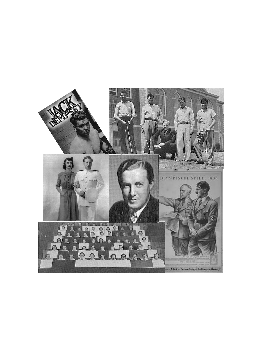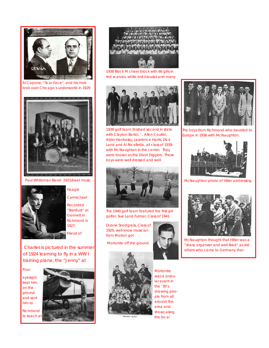

Al Capone, "Scar Face" and his mob took over Chicago's underworld in 1929



Paul Whiteman Band- 1921sheet music



**Carmichael** Recorded "Stardust" at Gennett in Richmond in 1927. Friend of

Hoagie

Charles is pictured in the summer of 1924 learning to fly in a WW I training plane, the "Jenny" at

Poor

eyesight kept him on the ground and sent him to

Richmond to teach at





1938 Block M cheer block with 66 girls in red scarves, white knit blouses and many



1938 golf team finished second in state with Clayton Bartel, ' , Allen Coulter, Alder Hankosky, Lawrence Harris, Dick Land and Al Nicolletta, all class of 1939, with McNaughton in the center. They were known as the Divot Diggers. These boys were well dressed and well



The 1940 golf team featured the first girl golfer, Sue Land Fulmer, Class of 1941.

Duane Snodgrass, Class of 1929, well know musician from Morton got

Mortonite off the ground.





Mortonite-Jig-Sav





The boys from Richmond who traveled to Europe in 1936 with McNaughton.



McNaughton photo of Hitler addressing



McNaughton thought that Hitler was a "sharp organizer and well liked" as did others who came to Germany that